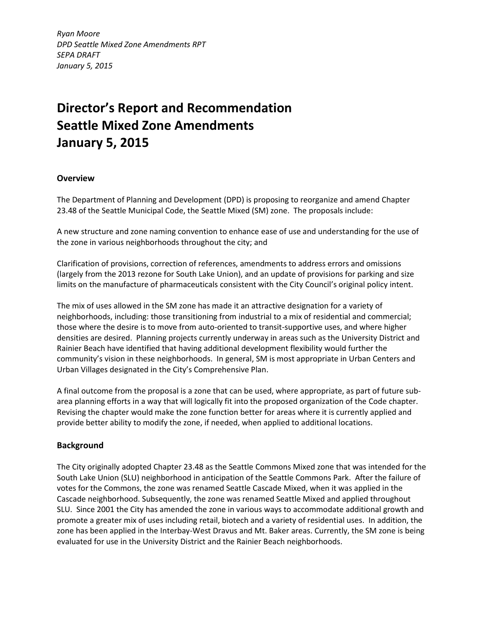*Ryan Moore DPD Seattle Mixed Zone Amendments RPT SEPA DRAFT January 5, 2015*

# **Director's Report and Recommendation Seattle Mixed Zone Amendments January 5, 2015**

# **Overview**

The Department of Planning and Development (DPD) is proposing to reorganize and amend Chapter 23.48 of the Seattle Municipal Code, the Seattle Mixed (SM) zone. The proposals include:

A new structure and zone naming convention to enhance ease of use and understanding for the use of the zone in various neighborhoods throughout the city; and

Clarification of provisions, correction of references, amendments to address errors and omissions (largely from the 2013 rezone for South Lake Union), and an update of provisions for parking and size limits on the manufacture of pharmaceuticals consistent with the City Council's original policy intent.

The mix of uses allowed in the SM zone has made it an attractive designation for a variety of neighborhoods, including: those transitioning from industrial to a mix of residential and commercial; those where the desire is to move from auto-oriented to transit-supportive uses, and where higher densities are desired. Planning projects currently underway in areas such as the University District and Rainier Beach have identified that having additional development flexibility would further the community's vision in these neighborhoods. In general, SM is most appropriate in Urban Centers and Urban Villages designated in the City's Comprehensive Plan.

A final outcome from the proposal is a zone that can be used, where appropriate, as part of future subarea planning efforts in a way that will logically fit into the proposed organization of the Code chapter. Revising the chapter would make the zone function better for areas where it is currently applied and provide better ability to modify the zone, if needed, when applied to additional locations.

# **Background**

The City originally adopted Chapter 23.48 as the Seattle Commons Mixed zone that was intended for the South Lake Union (SLU) neighborhood in anticipation of the Seattle Commons Park. After the failure of votes for the Commons, the zone was renamed Seattle Cascade Mixed, when it was applied in the Cascade neighborhood. Subsequently, the zone was renamed Seattle Mixed and applied throughout SLU. Since 2001 the City has amended the zone in various ways to accommodate additional growth and promote a greater mix of uses including retail, biotech and a variety of residential uses. In addition, the zone has been applied in the Interbay-West Dravus and Mt. Baker areas. Currently, the SM zone is being evaluated for use in the University District and the Rainier Beach neighborhoods.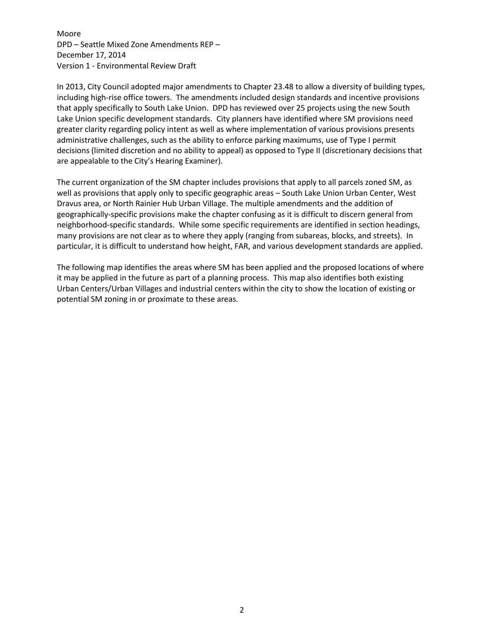In 2013, City Council adopted major amendments to Chapter 23.48 to allow a diversity of building types, including high-rise office towers. The amendments included design standards and incentive provisions that apply specifically to South Lake Union. DPD has reviewed over 25 projects using the new South Lake Union specific development standards. City planners have identified where SM provisions need greater clarity regarding policy intent as well as where implementation of various provisions presents administrative challenges, such as the ability to enforce parking maximums, use of Type I permit decisions (limited discretion and no ability to appeal) as opposed to Type II (discretionary decisions that are appealable to the City's Hearing Examiner).

The current organization of the SM chapter includes provisions that apply to all parcels zoned SM, as well as provisions that apply only to specific geographic areas – South Lake Union Urban Center, West Dravus area, or North Rainier Hub Urban Village. The multiple amendments and the addition of geographically-specific provisions make the chapter confusing as it is difficult to discern general from neighborhood-specific standards. While some specific requirements are identified in section headings, many provisions are not clear as to where they apply (ranging from subareas, blocks, and streets). In particular, it is difficult to understand how height, FAR, and various development standards are applied.

The following map identifies the areas where SM has been applied and the proposed locations of where it may be applied in the future as part of a planning process. This map also identifies both existing Urban Centers/Urban Villages and industrial centers within the city to show the location of existing or potential SM zoning in or proximate to these areas.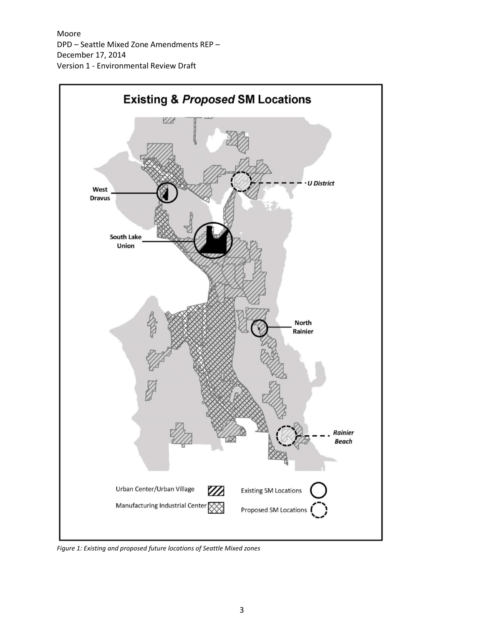

*Figure 1: Existing and proposed future locations of Seattle Mixed zones*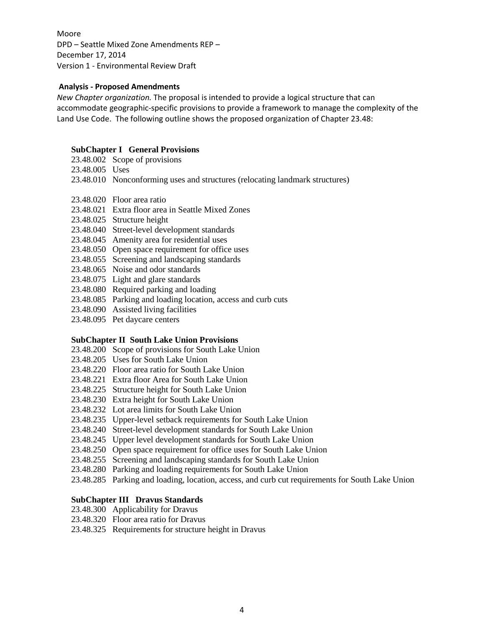#### **Analysis - Proposed Amendments**

*New Chapter organization.* The proposal is intended to provide a logical structure that can accommodate geographic-specific provisions to provide a framework to manage the complexity of the Land Use Code. The following outline shows the proposed organization of Chapter 23.48:

#### **SubChapter I General Provisions**

- [23.48.002](http://clerk.seattle.gov/~scripts/nph-brs.exe?d=CODE&s1=23.48.002.snum.&Sect5=CODE1&Sect6=HITOFF&l=20&p=1&u=/%7Epublic/code1.htm&r=1&f=G) Scope of provisions
- 23.48.005 Uses
- 23.48.010 Nonconforming uses and structures (relocating landmark structures)
- 23.48.020 Floor area ratio
- 23.48.021 Extra floor area in Seattle Mixed Zones
- 23.48.025 Structure height
- 23.48.040 Street-level development standards
- 23.48.045 Amenity area for residential uses
- [23.48.050](http://clerk.seattle.gov/~scripts/nph-brs.exe?d=CODE&s1=23.48.022.snum.&Sect5=CODE1&Sect6=HITOFF&l=20&p=1&u=/%7Epublic/code1.htm&r=1&f=G) Open space requirement for office uses
- 23.48.055 Screening and landscaping standards
- [23.48.065](http://clerk.seattle.gov/~scripts/nph-brs.exe?d=CODE&s1=23.48.026.snum.&Sect5=CODE1&Sect6=HITOFF&l=20&p=1&u=/%7Epublic/code1.htm&r=1&f=G) Noise and odor standards
- [23.48.075](http://clerk.seattle.gov/~scripts/nph-brs.exe?d=CODE&s1=23.48.030.snum.&Sect5=CODE1&Sect6=HITOFF&l=20&p=1&u=/%7Epublic/code1.htm&r=1&f=G) Light and glare standards
- [23.48.080](http://clerk.seattle.gov/~scripts/nph-brs.exe?d=CODE&s1=23.48.032.snum.&Sect5=CODE1&Sect6=HITOFF&l=20&p=1&u=/%7Epublic/code1.htm&r=1&f=G) Required parking and loading
- [23.48.085](http://clerk.seattle.gov/~scripts/nph-brs.exe?d=CODE&s1=23.48.034.snum.&Sect5=CODE1&Sect6=HITOFF&l=20&p=1&u=/%7Epublic/code1.htm&r=1&f=G) Parking and loading location, access and curb cuts
- [23.48.090](http://clerk.seattle.gov/~scripts/nph-brs.exe?d=CODE&s1=23.48.035.snum.&Sect5=CODE1&Sect6=HITOFF&l=20&p=1&u=/%7Epublic/code1.htm&r=1&f=G) Assisted living facilities
- [23.48.095](http://clerk.seattle.gov/~scripts/nph-brs.exe?d=CODE&s1=23.48.036.snum.&Sect5=CODE1&Sect6=HITOFF&l=20&p=1&u=/%7Epublic/code1.htm&r=1&f=G) Pet daycare centers

#### **SubChapter II South Lake Union Provisions**

- 23.48.200 Scope of provisions for South Lake Union
- 23.48.205 Uses for South Lake Union
- 23.48.220 Floor area ratio for South Lake Union
- 23.48.221 Extra floor Area for South Lake Union
- 23.48.225 Structure height for South Lake Union
- 23.48.230 Extra height for South Lake Union
- 23.48.232 Lot area limits for South Lake Union
- 23.48.235 Upper-level setback requirements for South Lake Union
- 23.48.240 Street-level development standards for South Lake Union
- 23.48.245 Upper level development standards for South Lake Union
- 23.48.250 Open space requirement for office uses for South Lake Union
- 23.48.255 Screening and landscaping standards for South Lake Union
- 23.48.280 Parking and loading requirements for South Lake Union
- 23.48.285 Parking and loading, location, access, and curb cut requirements for South Lake Union

## **SubChapter III Dravus Standards**

- 23.48.300 Applicability for Dravus
- 23.48.320 Floor area ratio for Dravus
- 23.48.325 Requirements for structure height in Dravus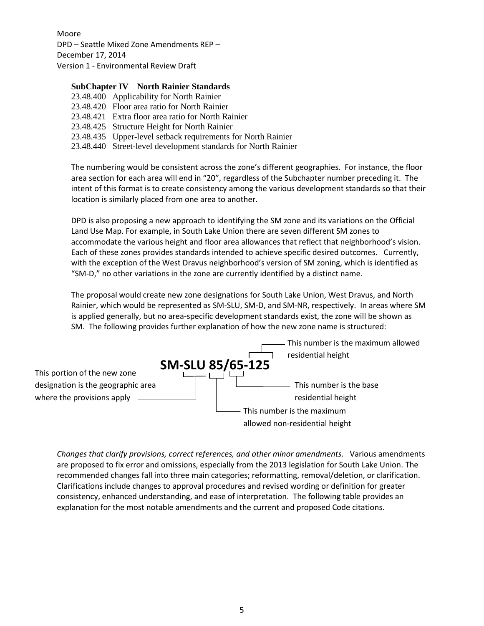### **SubChapter IV North Rainier Standards**

23.48.400 Applicability for North Rainier 23.48.420 Floor area ratio for North Rainier 23.48.421 Extra floor area ratio for North Rainier 23.48.425 Structure Height for North Rainier 23.48.435 Upper-level setback requirements for North Rainier 23.48.440 Street-level development standards for North Rainier

The numbering would be consistent across the zone's different geographies. For instance, the floor area section for each area will end in "20", regardless of the Subchapter number preceding it. The intent of this format is to create consistency among the various development standards so that their location is similarly placed from one area to another.

DPD is also proposing a new approach to identifying the SM zone and its variations on the Official Land Use Map. For example, in South Lake Union there are seven different SM zones to accommodate the various height and floor area allowances that reflect that neighborhood's vision. Each of these zones provides standards intended to achieve specific desired outcomes. Currently, with the exception of the West Dravus neighborhood's version of SM zoning, which is identified as "SM-D," no other variations in the zone are currently identified by a distinct name.

The proposal would create new zone designations for South Lake Union, West Dravus, and North Rainier, which would be represented as SM-SLU, SM-D, and SM-NR, respectively. In areas where SM is applied generally, but no area-specific development standards exist, the zone will be shown as SM. The following provides further explanation of how the new zone name is structured:



*Changes that clarify provisions, correct references, and other minor amendments.* Various amendments are proposed to fix error and omissions, especially from the 2013 legislation for South Lake Union. The recommended changes fall into three main categories; reformatting, removal/deletion, or clarification. Clarifications include changes to approval procedures and revised wording or definition for greater consistency, enhanced understanding, and ease of interpretation. The following table provides an explanation for the most notable amendments and the current and proposed Code citations.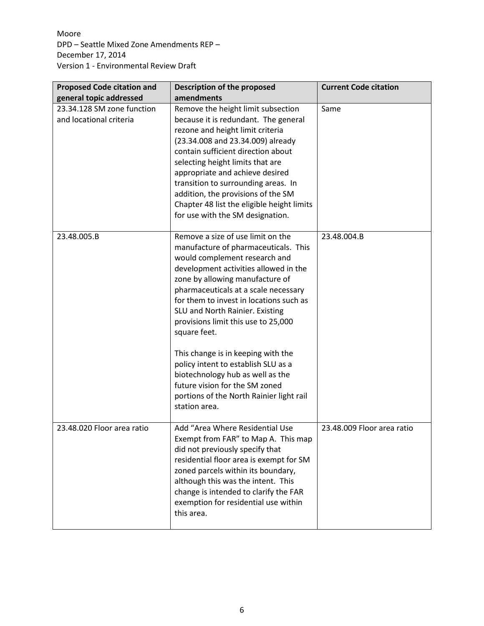| <b>Proposed Code citation and</b>                     | Description of the proposed                                                                                                                                                                                                                                                                                                                                                                                                                                                                                                                                                         | <b>Current Code citation</b> |
|-------------------------------------------------------|-------------------------------------------------------------------------------------------------------------------------------------------------------------------------------------------------------------------------------------------------------------------------------------------------------------------------------------------------------------------------------------------------------------------------------------------------------------------------------------------------------------------------------------------------------------------------------------|------------------------------|
| general topic addressed                               | amendments                                                                                                                                                                                                                                                                                                                                                                                                                                                                                                                                                                          |                              |
| 23.34.128 SM zone function<br>and locational criteria | Remove the height limit subsection<br>because it is redundant. The general<br>rezone and height limit criteria<br>(23.34.008 and 23.34.009) already<br>contain sufficient direction about<br>selecting height limits that are<br>appropriate and achieve desired<br>transition to surrounding areas. In<br>addition, the provisions of the SM<br>Chapter 48 list the eligible height limits<br>for use with the SM designation.                                                                                                                                                     | Same                         |
| 23.48.005.B                                           | Remove a size of use limit on the<br>manufacture of pharmaceuticals. This<br>would complement research and<br>development activities allowed in the<br>zone by allowing manufacture of<br>pharmaceuticals at a scale necessary<br>for them to invest in locations such as<br>SLU and North Rainier. Existing<br>provisions limit this use to 25,000<br>square feet.<br>This change is in keeping with the<br>policy intent to establish SLU as a<br>biotechnology hub as well as the<br>future vision for the SM zoned<br>portions of the North Rainier light rail<br>station area. | 23.48.004.B                  |
| 23.48.020 Floor area ratio                            | Add "Area Where Residential Use<br>Exempt from FAR" to Map A. This map<br>did not previously specify that<br>residential floor area is exempt for SM<br>zoned parcels within its boundary,<br>although this was the intent. This<br>change is intended to clarify the FAR<br>exemption for residential use within<br>this area.                                                                                                                                                                                                                                                     | 23.48.009 Floor area ratio   |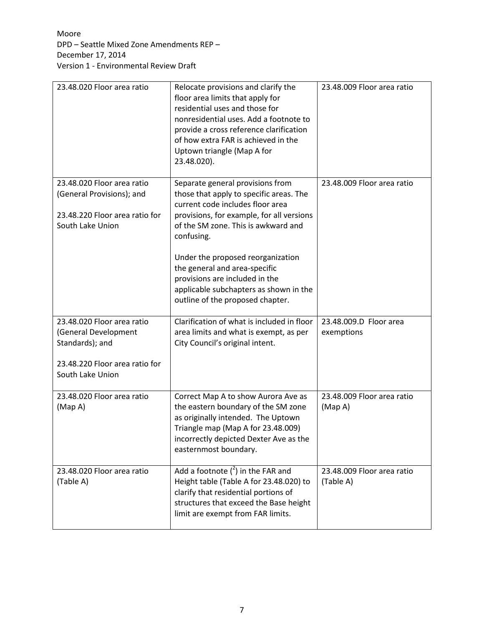| 23.48.020 Floor area ratio                                                                                                  | Relocate provisions and clarify the<br>floor area limits that apply for<br>residential uses and those for<br>nonresidential uses. Add a footnote to<br>provide a cross reference clarification<br>of how extra FAR is achieved in the<br>Uptown triangle (Map A for<br>23.48.020).                                                                                                                      | 23.48.009 Floor area ratio              |
|-----------------------------------------------------------------------------------------------------------------------------|---------------------------------------------------------------------------------------------------------------------------------------------------------------------------------------------------------------------------------------------------------------------------------------------------------------------------------------------------------------------------------------------------------|-----------------------------------------|
| 23.48.020 Floor area ratio<br>(General Provisions); and<br>23.48.220 Floor area ratio for<br>South Lake Union               | Separate general provisions from<br>those that apply to specific areas. The<br>current code includes floor area<br>provisions, for example, for all versions<br>of the SM zone. This is awkward and<br>confusing.<br>Under the proposed reorganization<br>the general and area-specific<br>provisions are included in the<br>applicable subchapters as shown in the<br>outline of the proposed chapter. | 23.48.009 Floor area ratio              |
| 23.48.020 Floor area ratio<br>(General Development<br>Standards); and<br>23.48.220 Floor area ratio for<br>South Lake Union | Clarification of what is included in floor<br>area limits and what is exempt, as per<br>City Council's original intent.                                                                                                                                                                                                                                                                                 | 23.48.009.D Floor area<br>exemptions    |
| 23.48.020 Floor area ratio<br>(MapA)                                                                                        | Correct Map A to show Aurora Ave as<br>the eastern boundary of the SM zone<br>as originally intended. The Uptown<br>Triangle map (Map A for 23.48.009)<br>incorrectly depicted Dexter Ave as the<br>easternmost boundary.                                                                                                                                                                               | 23.48.009 Floor area ratio<br>(Map A)   |
| 23.48.020 Floor area ratio<br>(Table A)                                                                                     | Add a footnote $(^2)$ in the FAR and<br>Height table (Table A for 23.48.020) to<br>clarify that residential portions of<br>structures that exceed the Base height<br>limit are exempt from FAR limits.                                                                                                                                                                                                  | 23.48.009 Floor area ratio<br>(Table A) |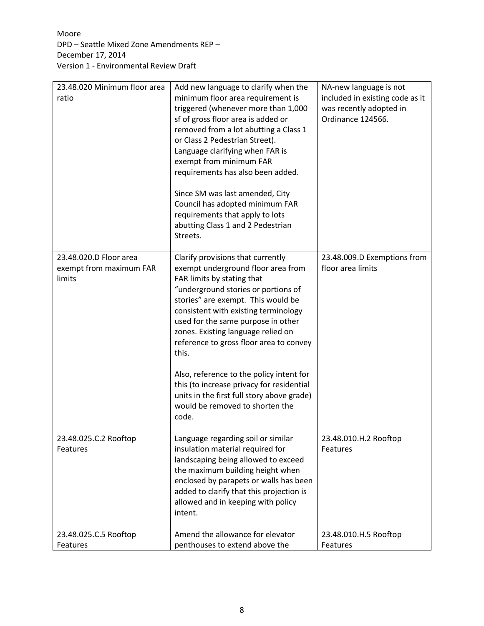| 23.48.020 Minimum floor area<br>ratio                       | Add new language to clarify when the<br>minimum floor area requirement is<br>triggered (whenever more than 1,000<br>sf of gross floor area is added or<br>removed from a lot abutting a Class 1<br>or Class 2 Pedestrian Street).<br>Language clarifying when FAR is<br>exempt from minimum FAR<br>requirements has also been added.<br>Since SM was last amended, City<br>Council has adopted minimum FAR<br>requirements that apply to lots<br>abutting Class 1 and 2 Pedestrian<br>Streets.                                                | NA-new language is not<br>included in existing code as it<br>was recently adopted in<br>Ordinance 124566. |
|-------------------------------------------------------------|-----------------------------------------------------------------------------------------------------------------------------------------------------------------------------------------------------------------------------------------------------------------------------------------------------------------------------------------------------------------------------------------------------------------------------------------------------------------------------------------------------------------------------------------------|-----------------------------------------------------------------------------------------------------------|
| 23.48.020.D Floor area<br>exempt from maximum FAR<br>limits | Clarify provisions that currently<br>exempt underground floor area from<br>FAR limits by stating that<br>"underground stories or portions of<br>stories" are exempt. This would be<br>consistent with existing terminology<br>used for the same purpose in other<br>zones. Existing language relied on<br>reference to gross floor area to convey<br>this.<br>Also, reference to the policy intent for<br>this (to increase privacy for residential<br>units in the first full story above grade)<br>would be removed to shorten the<br>code. | 23.48.009.D Exemptions from<br>floor area limits                                                          |
| 23.48.025.C.2 Rooftop<br>Features                           | Language regarding soil or similar<br>insulation material required for<br>landscaping being allowed to exceed<br>the maximum building height when<br>enclosed by parapets or walls has been<br>added to clarify that this projection is<br>allowed and in keeping with policy<br>intent.                                                                                                                                                                                                                                                      | 23.48.010.H.2 Rooftop<br>Features                                                                         |
| 23.48.025.C.5 Rooftop<br>Features                           | Amend the allowance for elevator<br>penthouses to extend above the                                                                                                                                                                                                                                                                                                                                                                                                                                                                            | 23.48.010.H.5 Rooftop<br>Features                                                                         |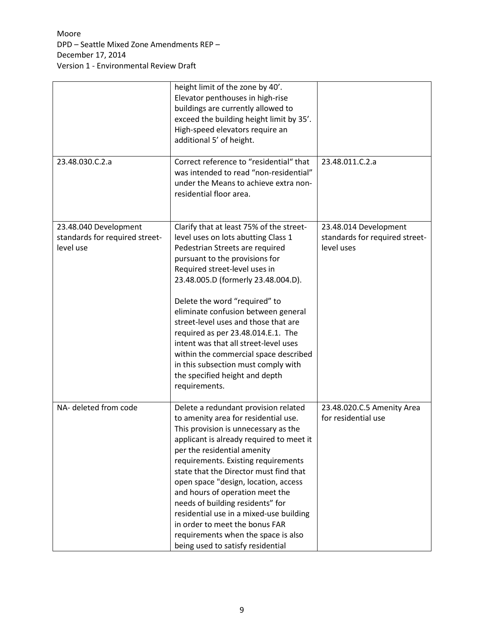|                                                                      | height limit of the zone by 40'.<br>Elevator penthouses in high-rise<br>buildings are currently allowed to<br>exceed the building height limit by 35'.<br>High-speed elevators require an<br>additional 5' of height.                                                                                                                                                                                                                                                                                                                                          |                                                                       |
|----------------------------------------------------------------------|----------------------------------------------------------------------------------------------------------------------------------------------------------------------------------------------------------------------------------------------------------------------------------------------------------------------------------------------------------------------------------------------------------------------------------------------------------------------------------------------------------------------------------------------------------------|-----------------------------------------------------------------------|
| 23.48.030.C.2.a                                                      | Correct reference to "residential" that<br>was intended to read "non-residential"<br>under the Means to achieve extra non-<br>residential floor area.                                                                                                                                                                                                                                                                                                                                                                                                          | 23.48.011.C.2.a                                                       |
| 23.48.040 Development<br>standards for required street-<br>level use | Clarify that at least 75% of the street-<br>level uses on lots abutting Class 1<br>Pedestrian Streets are required<br>pursuant to the provisions for<br>Required street-level uses in<br>23.48.005.D (formerly 23.48.004.D).<br>Delete the word "required" to<br>eliminate confusion between general<br>street-level uses and those that are<br>required as per 23.48.014.E.1. The<br>intent was that all street-level uses<br>within the commercial space described<br>in this subsection must comply with<br>the specified height and depth<br>requirements. | 23.48.014 Development<br>standards for required street-<br>level uses |
| NA- deleted from code                                                | Delete a redundant provision related<br>to amenity area for residential use.<br>This provision is unnecessary as the<br>applicant is already required to meet it<br>per the residential amenity<br>requirements. Existing requirements<br>state that the Director must find that<br>open space "design, location, access<br>and hours of operation meet the<br>needs of building residents" for<br>residential use in a mixed-use building<br>in order to meet the bonus FAR<br>requirements when the space is also<br>being used to satisfy residential       | 23.48.020.C.5 Amenity Area<br>for residential use                     |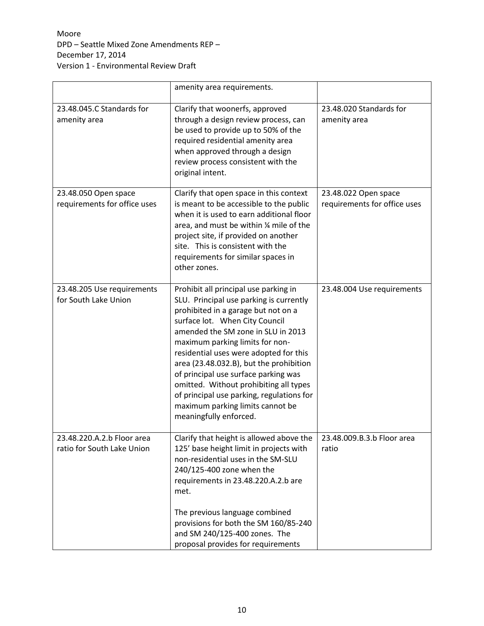|                                                          | amenity area requirements.                                                                                                                                                                                                                                                                                                                                                                                                                                                                                           |                                                      |
|----------------------------------------------------------|----------------------------------------------------------------------------------------------------------------------------------------------------------------------------------------------------------------------------------------------------------------------------------------------------------------------------------------------------------------------------------------------------------------------------------------------------------------------------------------------------------------------|------------------------------------------------------|
| 23.48.045.C Standards for<br>amenity area                | Clarify that woonerfs, approved<br>through a design review process, can<br>be used to provide up to 50% of the<br>required residential amenity area<br>when approved through a design<br>review process consistent with the<br>original intent.                                                                                                                                                                                                                                                                      | 23.48.020 Standards for<br>amenity area              |
| 23.48.050 Open space<br>requirements for office uses     | Clarify that open space in this context<br>is meant to be accessible to the public<br>when it is used to earn additional floor<br>area, and must be within 1/4 mile of the<br>project site, if provided on another<br>site. This is consistent with the<br>requirements for similar spaces in<br>other zones.                                                                                                                                                                                                        | 23.48.022 Open space<br>requirements for office uses |
| 23.48.205 Use requirements<br>for South Lake Union       | Prohibit all principal use parking in<br>SLU. Principal use parking is currently<br>prohibited in a garage but not on a<br>surface lot. When City Council<br>amended the SM zone in SLU in 2013<br>maximum parking limits for non-<br>residential uses were adopted for this<br>area (23.48.032.B), but the prohibition<br>of principal use surface parking was<br>omitted. Without prohibiting all types<br>of principal use parking, regulations for<br>maximum parking limits cannot be<br>meaningfully enforced. | 23.48.004 Use requirements                           |
| 23.48.220.A.2.b Floor area<br>ratio for South Lake Union | Clarify that height is allowed above the<br>125' base height limit in projects with<br>non-residential uses in the SM-SLU<br>240/125-400 zone when the<br>requirements in 23.48.220.A.2.b are<br>met.<br>The previous language combined<br>provisions for both the SM 160/85-240<br>and SM 240/125-400 zones. The<br>proposal provides for requirements                                                                                                                                                              | 23.48.009.B.3.b Floor area<br>ratio                  |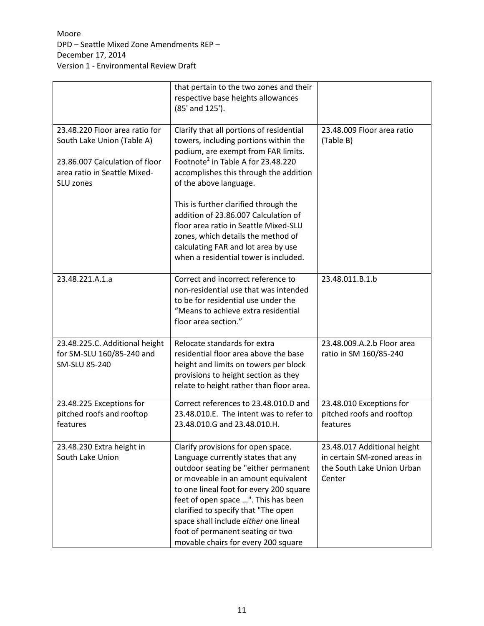|                                                                                                                                             | that pertain to the two zones and their<br>respective base heights allowances<br>(85' and 125').                                                                                                                                                                                                                                                                                                                                                                                               |                                                                                                     |
|---------------------------------------------------------------------------------------------------------------------------------------------|------------------------------------------------------------------------------------------------------------------------------------------------------------------------------------------------------------------------------------------------------------------------------------------------------------------------------------------------------------------------------------------------------------------------------------------------------------------------------------------------|-----------------------------------------------------------------------------------------------------|
| 23.48.220 Floor area ratio for<br>South Lake Union (Table A)<br>23.86.007 Calculation of floor<br>area ratio in Seattle Mixed-<br>SLU zones | Clarify that all portions of residential<br>towers, including portions within the<br>podium, are exempt from FAR limits.<br>Footnote <sup>2</sup> in Table A for 23,48,220<br>accomplishes this through the addition<br>of the above language.<br>This is further clarified through the<br>addition of 23.86.007 Calculation of<br>floor area ratio in Seattle Mixed-SLU<br>zones, which details the method of<br>calculating FAR and lot area by use<br>when a residential tower is included. | 23.48.009 Floor area ratio<br>(Table B)                                                             |
| 23.48.221.A.1.a                                                                                                                             | Correct and incorrect reference to<br>non-residential use that was intended<br>to be for residential use under the<br>"Means to achieve extra residential<br>floor area section."                                                                                                                                                                                                                                                                                                              | 23.48.011.B.1.b                                                                                     |
| 23.48.225.C. Additional height<br>for SM-SLU 160/85-240 and<br>SM-SLU 85-240                                                                | Relocate standards for extra<br>residential floor area above the base<br>height and limits on towers per block<br>provisions to height section as they<br>relate to height rather than floor area.                                                                                                                                                                                                                                                                                             | 23.48.009.A.2.b Floor area<br>ratio in SM 160/85-240                                                |
| 23.48.225 Exceptions for<br>pitched roofs and rooftop<br>features                                                                           | Correct references to 23.48.010.D and<br>23.48.010.E. The intent was to refer to<br>23.48.010.G and 23.48.010.H.                                                                                                                                                                                                                                                                                                                                                                               | 23.48.010 Exceptions for<br>pitched roofs and rooftop<br>features                                   |
| 23.48.230 Extra height in<br>South Lake Union                                                                                               | Clarify provisions for open space.<br>Language currently states that any<br>outdoor seating be "either permanent<br>or moveable in an amount equivalent<br>to one lineal foot for every 200 square<br>feet of open space ". This has been<br>clarified to specify that "The open<br>space shall include either one lineal<br>foot of permanent seating or two<br>movable chairs for every 200 square                                                                                           | 23.48.017 Additional height<br>in certain SM-zoned areas in<br>the South Lake Union Urban<br>Center |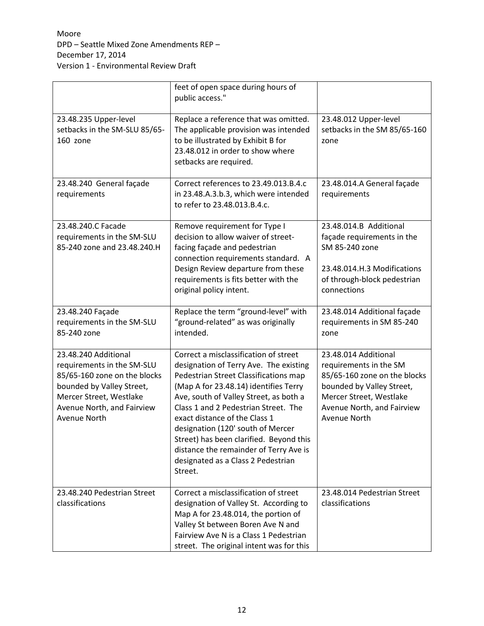|                                                                                                                                                                                          | feet of open space during hours of<br>public access."                                                                                                                                                                                                                                                                                                                                                                                                           |                                                                                                                                                                                      |
|------------------------------------------------------------------------------------------------------------------------------------------------------------------------------------------|-----------------------------------------------------------------------------------------------------------------------------------------------------------------------------------------------------------------------------------------------------------------------------------------------------------------------------------------------------------------------------------------------------------------------------------------------------------------|--------------------------------------------------------------------------------------------------------------------------------------------------------------------------------------|
| 23.48.235 Upper-level<br>setbacks in the SM-SLU 85/65-<br>160 zone                                                                                                                       | Replace a reference that was omitted.<br>The applicable provision was intended<br>to be illustrated by Exhibit B for<br>23.48.012 in order to show where<br>setbacks are required.                                                                                                                                                                                                                                                                              | 23.48.012 Upper-level<br>setbacks in the SM 85/65-160<br>zone                                                                                                                        |
| 23.48.240 General façade<br>requirements                                                                                                                                                 | Correct references to 23.49.013.B.4.c<br>in 23.48.A.3.b.3, which were intended<br>to refer to 23.48.013.B.4.c.                                                                                                                                                                                                                                                                                                                                                  | 23.48.014.A General façade<br>requirements                                                                                                                                           |
| 23.48.240.C Facade<br>requirements in the SM-SLU<br>85-240 zone and 23.48.240.H                                                                                                          | Remove requirement for Type I<br>decision to allow waiver of street-<br>facing façade and pedestrian<br>connection requirements standard. A<br>Design Review departure from these<br>requirements is fits better with the<br>original policy intent.                                                                                                                                                                                                            | 23.48.014.B Additional<br>façade requirements in the<br>SM 85-240 zone<br>23.48.014.H.3 Modifications<br>of through-block pedestrian<br>connections                                  |
| 23.48.240 Façade<br>requirements in the SM-SLU<br>85-240 zone                                                                                                                            | Replace the term "ground-level" with<br>"ground-related" as was originally<br>intended.                                                                                                                                                                                                                                                                                                                                                                         | 23.48.014 Additional façade<br>requirements in SM 85-240<br>zone                                                                                                                     |
| 23.48.240 Additional<br>requirements in the SM-SLU<br>85/65-160 zone on the blocks<br>bounded by Valley Street,<br>Mercer Street, Westlake<br>Avenue North, and Fairview<br>Avenue North | Correct a misclassification of street<br>designation of Terry Ave. The existing<br>Pedestrian Street Classifications map<br>(Map A for 23.48.14) identifies Terry<br>Ave, south of Valley Street, as both a<br>Class 1 and 2 Pedestrian Street. The<br>exact distance of the Class 1<br>designation (120' south of Mercer<br>Street) has been clarified. Beyond this<br>distance the remainder of Terry Ave is<br>designated as a Class 2 Pedestrian<br>Street. | 23.48.014 Additional<br>requirements in the SM<br>85/65-160 zone on the blocks<br>bounded by Valley Street,<br>Mercer Street, Westlake<br>Avenue North, and Fairview<br>Avenue North |
| 23.48.240 Pedestrian Street<br>classifications                                                                                                                                           | Correct a misclassification of street<br>designation of Valley St. According to<br>Map A for 23.48.014, the portion of<br>Valley St between Boren Ave N and<br>Fairview Ave N is a Class 1 Pedestrian<br>street. The original intent was for this                                                                                                                                                                                                               | 23.48.014 Pedestrian Street<br>classifications                                                                                                                                       |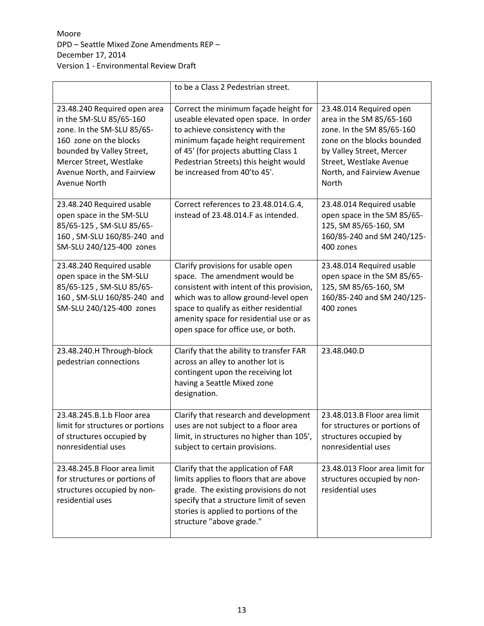|                                                                                                                                                                                                                       | to be a Class 2 Pedestrian street.                                                                                                                                                                                                                                                   |                                                                                                                                                                                                              |
|-----------------------------------------------------------------------------------------------------------------------------------------------------------------------------------------------------------------------|--------------------------------------------------------------------------------------------------------------------------------------------------------------------------------------------------------------------------------------------------------------------------------------|--------------------------------------------------------------------------------------------------------------------------------------------------------------------------------------------------------------|
| 23.48.240 Required open area<br>in the SM-SLU 85/65-160<br>zone. In the SM-SLU 85/65-<br>160 zone on the blocks<br>bounded by Valley Street,<br>Mercer Street, Westlake<br>Avenue North, and Fairview<br>Avenue North | Correct the minimum façade height for<br>useable elevated open space. In order<br>to achieve consistency with the<br>minimum façade height requirement<br>of 45' (for projects abutting Class 1<br>Pedestrian Streets) this height would<br>be increased from 40'to 45'.             | 23.48.014 Required open<br>area in the SM 85/65-160<br>zone. In the SM 85/65-160<br>zone on the blocks bounded<br>by Valley Street, Mercer<br>Street, Westlake Avenue<br>North, and Fairview Avenue<br>North |
| 23.48.240 Required usable<br>open space in the SM-SLU<br>85/65-125, SM-SLU 85/65-<br>160, SM-SLU 160/85-240 and<br>SM-SLU 240/125-400 zones                                                                           | Correct references to 23.48.014.G.4,<br>instead of 23.48.014.F as intended.                                                                                                                                                                                                          | 23.48.014 Required usable<br>open space in the SM 85/65-<br>125, SM 85/65-160, SM<br>160/85-240 and SM 240/125-<br>400 zones                                                                                 |
| 23.48.240 Required usable<br>open space in the SM-SLU<br>85/65-125, SM-SLU 85/65-<br>160, SM-SLU 160/85-240 and<br>SM-SLU 240/125-400 zones                                                                           | Clarify provisions for usable open<br>space. The amendment would be<br>consistent with intent of this provision,<br>which was to allow ground-level open<br>space to qualify as either residential<br>amenity space for residential use or as<br>open space for office use, or both. | 23.48.014 Required usable<br>open space in the SM 85/65-<br>125, SM 85/65-160, SM<br>160/85-240 and SM 240/125-<br>400 zones                                                                                 |
| 23.48.240.H Through-block<br>pedestrian connections                                                                                                                                                                   | Clarify that the ability to transfer FAR<br>across an alley to another lot is<br>contingent upon the receiving lot<br>having a Seattle Mixed zone<br>designation.                                                                                                                    | 23.48.040.D                                                                                                                                                                                                  |
| 23.48.245.B.1.b Floor area<br>limit for structures or portions<br>of structures occupied by<br>nonresidential uses                                                                                                    | Clarify that research and development<br>uses are not subject to a floor area<br>limit, in structures no higher than 105',<br>subject to certain provisions.                                                                                                                         | 23.48.013.B Floor area limit<br>for structures or portions of<br>structures occupied by<br>nonresidential uses                                                                                               |
| 23.48.245.B Floor area limit<br>for structures or portions of<br>structures occupied by non-<br>residential uses                                                                                                      | Clarify that the application of FAR<br>limits applies to floors that are above<br>grade. The existing provisions do not<br>specify that a structure limit of seven<br>stories is applied to portions of the<br>structure "above grade."                                              | 23.48.013 Floor area limit for<br>structures occupied by non-<br>residential uses                                                                                                                            |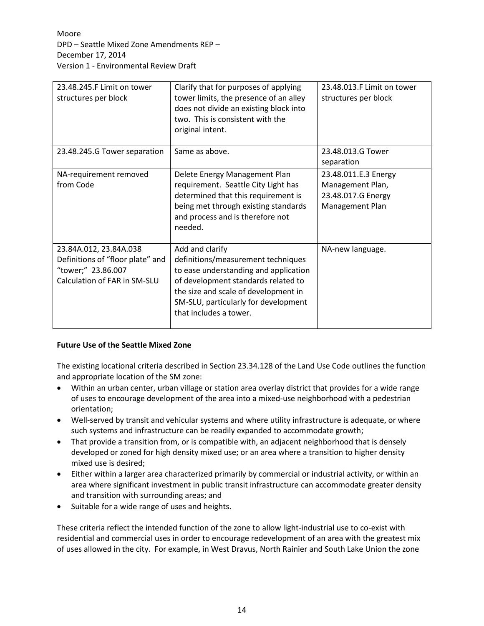| 23.48.245.F Limit on tower<br>structures per block                                                               | Clarify that for purposes of applying<br>tower limits, the presence of an alley<br>does not divide an existing block into<br>two. This is consistent with the<br>original intent.                                                               | 23.48.013.F Limit on tower<br>structures per block                                |
|------------------------------------------------------------------------------------------------------------------|-------------------------------------------------------------------------------------------------------------------------------------------------------------------------------------------------------------------------------------------------|-----------------------------------------------------------------------------------|
| 23.48.245.G Tower separation                                                                                     | Same as above.                                                                                                                                                                                                                                  | 23.48.013.G Tower<br>separation                                                   |
| NA-requirement removed<br>from Code                                                                              | Delete Energy Management Plan<br>requirement. Seattle City Light has<br>determined that this requirement is<br>being met through existing standards<br>and process and is therefore not<br>needed.                                              | 23.48.011.E.3 Energy<br>Management Plan,<br>23.48.017.G Energy<br>Management Plan |
| 23.84A.012, 23.84A.038<br>Definitions of "floor plate" and<br>"tower;" 23.86.007<br>Calculation of FAR in SM-SLU | Add and clarify<br>definitions/measurement techniques<br>to ease understanding and application<br>of development standards related to<br>the size and scale of development in<br>SM-SLU, particularly for development<br>that includes a tower. | NA-new language.                                                                  |

#### **Future Use of the Seattle Mixed Zone**

The existing locational criteria described in Section 23.34.128 of the Land Use Code outlines the function and appropriate location of the SM zone:

- Within an urban center, urban village or station area overlay district that provides for a wide range of uses to encourage development of the area into a mixed-use neighborhood with a pedestrian orientation;
- Well-served by transit and vehicular systems and where utility infrastructure is adequate, or where such systems and infrastructure can be readily expanded to accommodate growth;
- That provide a transition from, or is compatible with, an adjacent neighborhood that is densely developed or zoned for high density mixed use; or an area where a transition to higher density mixed use is desired;
- Either within a larger area characterized primarily by commercial or industrial activity, or within an area where significant investment in public transit infrastructure can accommodate greater density and transition with surrounding areas; and
- Suitable for a wide range of uses and heights.

These criteria reflect the intended function of the zone to allow light-industrial use to co-exist with residential and commercial uses in order to encourage redevelopment of an area with the greatest mix of uses allowed in the city. For example, in West Dravus, North Rainier and South Lake Union the zone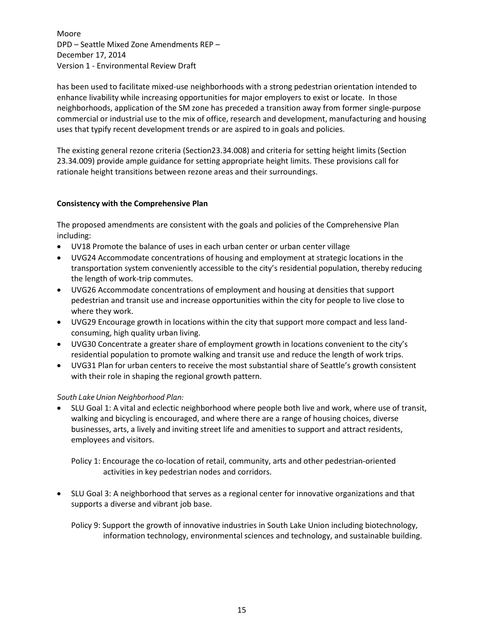has been used to facilitate mixed-use neighborhoods with a strong pedestrian orientation intended to enhance livability while increasing opportunities for major employers to exist or locate. In those neighborhoods, application of the SM zone has preceded a transition away from former single-purpose commercial or industrial use to the mix of office, research and development, manufacturing and housing uses that typify recent development trends or are aspired to in goals and policies.

The existing general rezone criteria (Section23.34.008) and criteria for setting height limits (Section 23.34.009) provide ample guidance for setting appropriate height limits. These provisions call for rationale height transitions between rezone areas and their surroundings.

## **Consistency with the Comprehensive Plan**

The proposed amendments are consistent with the goals and policies of the Comprehensive Plan including:

- UV18 Promote the balance of uses in each urban center or urban center village
- UVG24 Accommodate concentrations of housing and employment at strategic locations in the transportation system conveniently accessible to the city's residential population, thereby reducing the length of work-trip commutes.
- UVG26 Accommodate concentrations of employment and housing at densities that support pedestrian and transit use and increase opportunities within the city for people to live close to where they work.
- UVG29 Encourage growth in locations within the city that support more compact and less landconsuming, high quality urban living.
- UVG30 Concentrate a greater share of employment growth in locations convenient to the city's residential population to promote walking and transit use and reduce the length of work trips.
- UVG31 Plan for urban centers to receive the most substantial share of Seattle's growth consistent with their role in shaping the regional growth pattern.

#### *South Lake Union Neighborhood Plan:*

 SLU Goal 1: A vital and eclectic neighborhood where people both live and work, where use of transit, walking and bicycling is encouraged, and where there are a range of housing choices, diverse businesses, arts, a lively and inviting street life and amenities to support and attract residents, employees and visitors.

Policy 1: Encourage the co-location of retail, community, arts and other pedestrian-oriented activities in key pedestrian nodes and corridors.

 SLU Goal 3: A neighborhood that serves as a regional center for innovative organizations and that supports a diverse and vibrant job base.

Policy 9: Support the growth of innovative industries in South Lake Union including biotechnology, information technology, environmental sciences and technology, and sustainable building.